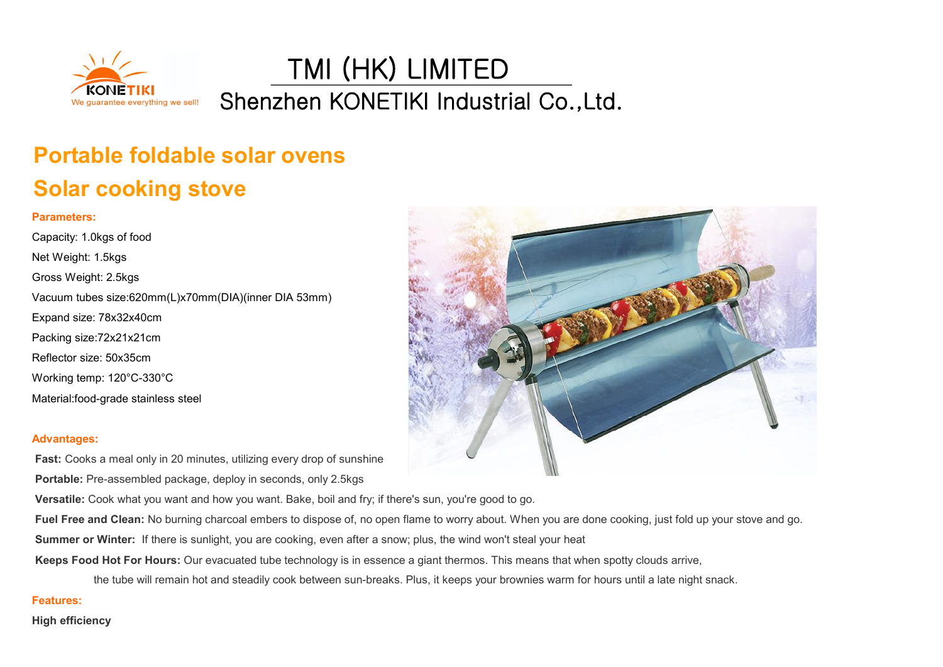

TMI (HK) LIMITED Shenzhen KONETIKI Industrial Co.,Ltd.

## **Portable foldable solar ovens Solar cooking stove**

## **Parameters:**

Capacity: 1.0kgs of food Net Weight: 1.5kgs Gross Weight: 2.5kgs Vacuum tubes size:620mm(L)x70mm(DIA)(inner DIA 53mm) Expand size: 78x32x40cm Packing size:72x21x21cm Reflector size: 50x35cm Working temp: 120°C-330°C Material:food-grade stainless steel



## **Advantages:**

**Fast:** Cooks a meal only in 20 minutes, utilizing every drop of sunshine **Portable:** Pre-assembled package, deploy in seconds, only 2.5kgs

**Versatile:** Cook what you want and how you want. Bake, boil and fry; if there's sun, you're good to go.

**Fuel Free and Clean:** No burning charcoal embers to dispose of, no open flame to worry about. When you are done cooking, just fold up your stove and go.

**Summer or Winter:** If there is sunlight, you are cooking, even after a snow; plus, the wind won't steal your heat

**Keeps Food Hot For Hours:** Our evacuated tube technology is in essence a giant thermos. This means that when spotty clouds arrive,

the tube will remain hot and steadily cook between sun-breaks. Plus, it keeps your brownies warm for hours until a late night snack.

## **Features:**

**High efficiency**